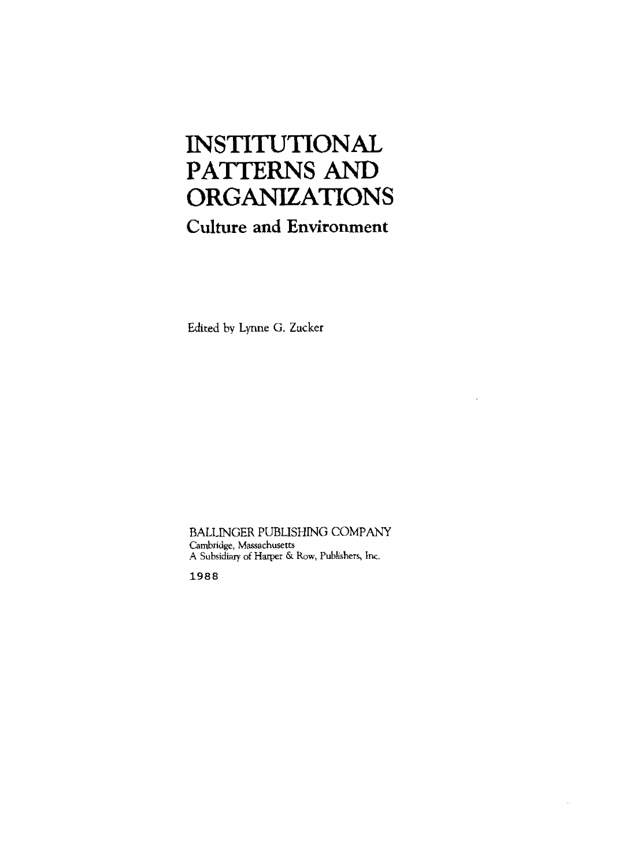# INSTITUTIONAL **PATTERNS AND**

### **Culture and Environment**

Edited by Lynne *G.* **Zucker** 

BALLINGER PUBLISHING COMPANY **Cambridge, Massachusetts A Subsidiary of** Harper *6.* **Row, Publishers, Inc.** 

1988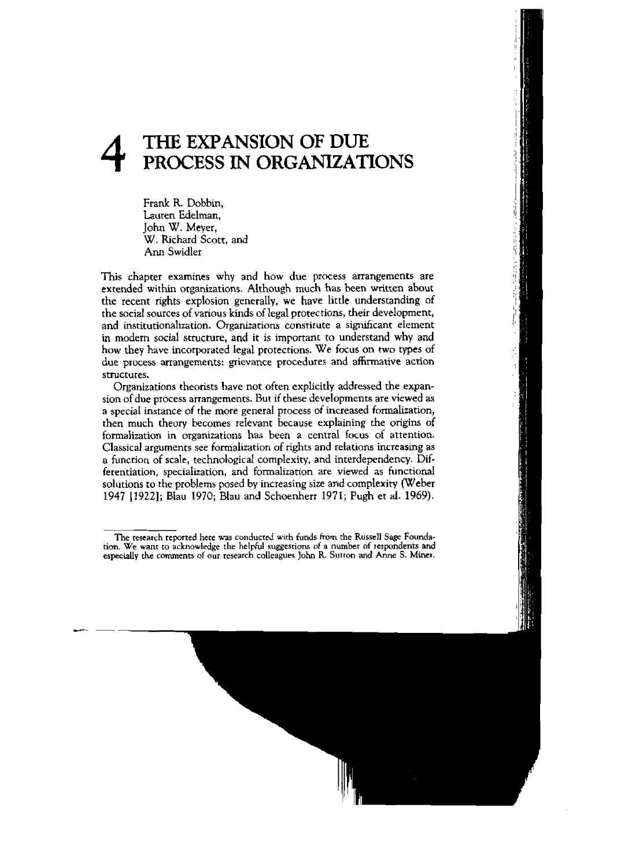## **4 THE EXPANSION OF DUE<br>PROCESS IN ORGANIZATI PROCESS IN ORGANEATIONS**

**Frank** R. Dobbin, Lauren Edelman, John W. **Meyer,**  W, **hchard Scott, and Ann Swidler** 

**This chapter examines why** and **how due process arrangements are extended within organizations. Although** much has **been written about the recent rights explosion generally, we have little understanding of the social** sources **of various kinds of legal protections, their development,**  and institutionalization. Organizations constitute a significant element **in modern social structure, and it is important to understand why and how they have incorporated Iegal protections. We focus on** two **types** of **due process** arrangements: **grievance procedures** and **afFinnative** action **structures.** 

Organizations **theorists have not often explicitly addressed the expan**sion of **due process arrangements. But** if **these developments are viewed as**  a **special instance of the more general** process of **increased** formalization, **then much theury becomes** reievant **because explaining the origins of formalization in** organizations **has** been **a** central **focus of attention. Classical arguments** see **formalization** of rights and **relations increasing** as a function of scale, technological **complexity,** and **interdependency. Differentiation, specialization,** and formalitation **are viewed as functional solutions to the problems** posed **by increasing** size and **complexity (Weber 1947 119221;** Blau 1970; **Blau and** Schoenherr **197 1; Pugh et al. 1969).** 

The research reported here was conducted with funds from the Russell Sage Founda**tion. We wanr to acknowledge** the helpful **suggestions** of **a** number of **respondents and especially he comments of our research colleagues John R. Sutton and Anne S. Miner.**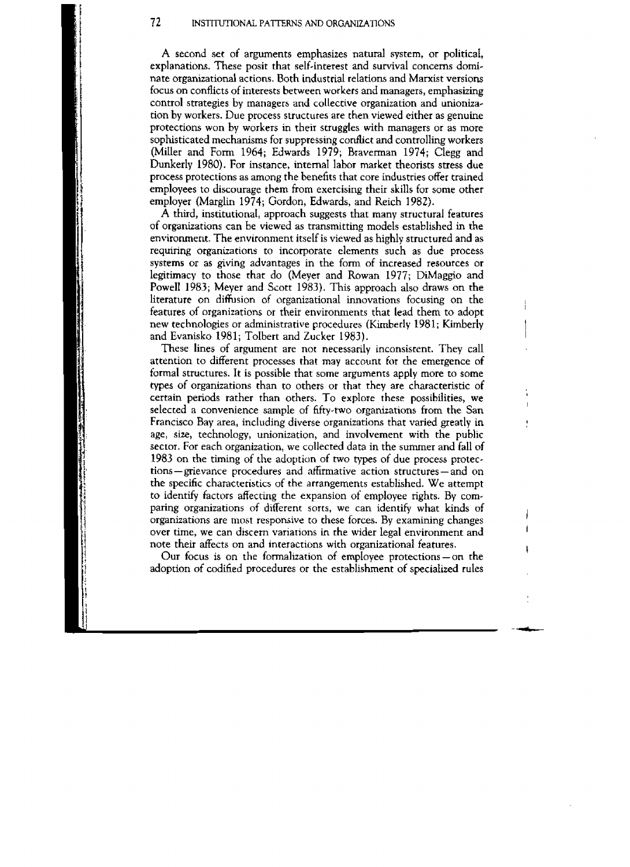**A** second set of arguments emphasizes natural system, or political, explanations. These posit that self-interest and survival concerns dominate organizational actions. Both industrial relations and Marxist versions **focus** on conflicts **of interests between workers** and managers, emphasizing control strategies **by** managers and **collective** organization and unioniza**tion** by workers. Due process structures are then viewed either as genuine protections won by workers in their **struggles with managers** or as more sophisticated mechanisms for suppressing conflict and controlling workers (Miller and Form 1964; Edwards 1979; Braverman 1974; Clegg and Dunkerly 1980). For instance, **internaI labor** market theorists **stress** due process protections as among the benefits that core industries offer trained employees to **discourage** them **from exercising their skills** for **some other**  employer (Marglin 1974; Gordon, Edwards, **and** Reich 1982).

**A** third, institutionaI, approach suggests that many structural features of organizations can be viewed as transmitting models established in the environment. **The** environment itself is viewed as highly structured and as requiring organizations to incorporate elements such as due process **systems** or **as grving** advantages in the form of increased resources or legitimacy to those that do (Meyer and Rowan 1977; DiMaggio and Powell 1983; Meyer and Scott 1983). This approach also draws on the literature on diffusion of organizational innovations focusing on the features of organizations or their environments that **lead** them to adopt: new technologies or administrative procedures **(Kimberly** 198 **1; Kimberly**  and **Evanisko 1981;** ToIbert **and** Zucker 1983).

These lines of **argument** are **not** necessarily inconsistent. They call attention to different processes that may account for the emergence of **formal structures. It is** possible **rhat** some arguments **apply more** to some **types** of organizations than **ro** others or that they are characteristic of certain periods rather than others. To explore these possibilities, **we**  selected a **convenience** sample of fifty-two organizations from the San Francisco Bay area, including diverse organizations that varied greatly in age, **size,** technology, unionization, and involvernenc with the **public**  sector. **For** each organization, **we collected** data in **the** summer and **fall of**  1983 on the timing of the adoption **of two types** of **due process** protec**tions** - grievance **procedures** and afirmative **action** structures - and on **the specific** characteristics of **the** arrangements established. We attempt to identify factors affecting the expansion of employee rights. By comparing organizations of different sorts, we can identify what kinds of organizations are most responsive to these forces. By **examining** changes **over** time, **we** can discern variations in **the** wider legal environment and note their affects on and interactions with organizational features.

Our **focus** is on the formalization of **empIoyee protections-on the**  adoption **of** codified **procedures** or the establishment of specialized rules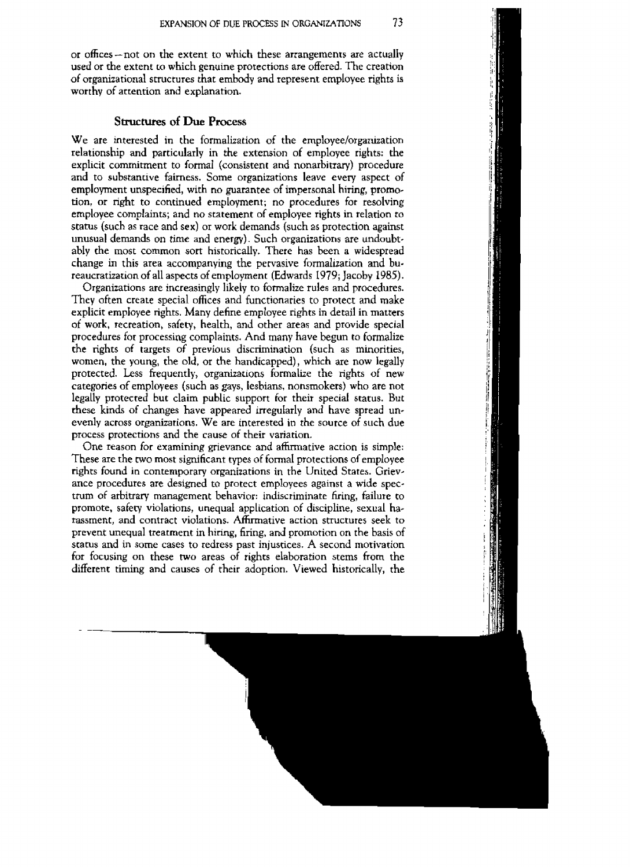**or offices-not on the extent** ro **uhich these arrangements are actually used or the extent to which genuine prorections are offered. The creation of** organizational **structures that embody and represent employee** righrs **is worthy** of **attention and explanation.** 

#### **Structures of Due Process**

We are interested in the formalization of the employee/organization **relationship and particularly in the extension of** employee **rights: the explicit commitment to formal (consisrent and nonarbitrary) procedure and to substantive fairness. Some organizations leave every aspect of employment unspecified, with no guarantee of impersonal hiring, promo**tion, **or nght to continued employment; no procedures** for **resolving employee complaints; and no statement of employee rights in relation to status** (such **as race** and **sex) or work demands (such as protection against unusual demands on time and energy). Such organizations are** undoubr**ably the most** common **sorr historically. There** has **been a widespread change in** this area **accompanying** the **pervasive formalization** and **bureaucratization of all aspects of employment (Edwards 1979; Jacoby 1985).** 

**Organizations are** increasingly **likely to** formalize **rules and procedures. They often** create **special** offices and **functionaries to protecr and make explicit employee rights. Many define** employee **rights in detail in matters**  of **work, recreation, safety, health,** and **other areas and provide special procedures for processing complaints. And many have begun** to **formalize the rights of targets of previous discrimination (such as minorities, women, the young, the old,** or **the handicapped), which are now legally**  protected. Less **frequently, organizations formalize the rights of new categories** of **employees** (such **as gays, lesbians, nonsmokers) who are not legally protected but claim public support for their special status. But these kinds of changes have appeared irregularly** and **have spread unevenly across organizations. We are inrerested in the source of such due process protections and the cause of their variation.** 

**One reason** for **examining grievance** and **affirmative action is simple: These are the two most** significant **types of** formal **protections of employee rights found in contemporary organizations in rhe United States. Grievance procedures are designed** to **protect employees against a** wide **spectrum of arbitrary management behavior: indiscriminate** fmng, **failure co promote, satery violations, unequal application of discipline, sexual harassment, and contract violations. Ahnative action structures seek to prevent unequal treatment in hiring, firing,** and **promotion on the basis of status and in some cases to redress past injustices. A second morivation for focusing on these two areas of rights elaboration** stems from the **different** timing and **causes** of **their adoption. Viewed historically, the**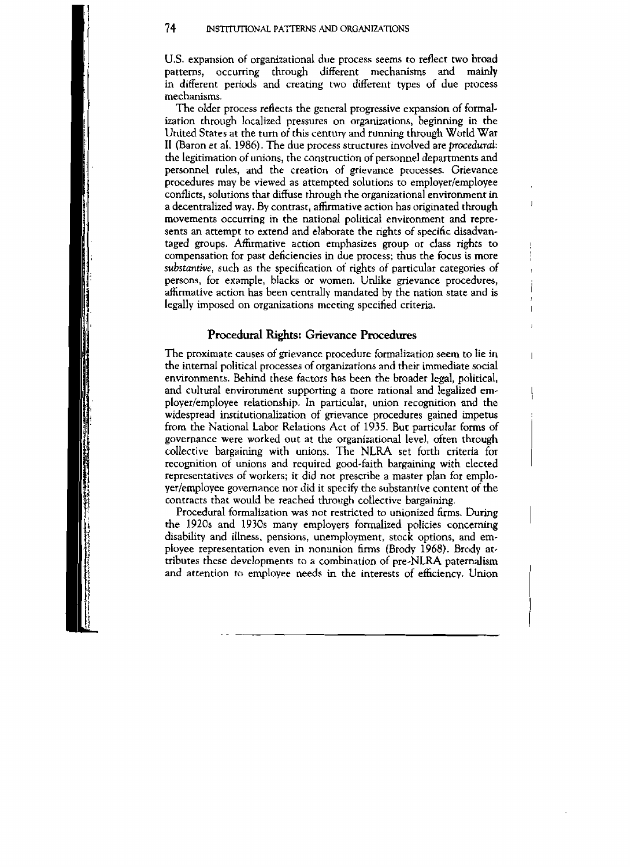U.S. **expansion of** organizational **due process seems to reflect two broad**  through different mechanisms and in different periods and creating two different types of due process **mechanisms.** 

**The older process reflects the general progressive expansion** of **formal**ization **through localized pressures** on **organizations, beginning in the United States at the turn of this century and running through** World **War II** (Baron et al. 1986). The due process structures involved are *procedural*: **the legitimation of** unions, **the construction of personnel departments** and **personnel rules, and the creation of gnevance processes. Grievance procedures may** be **viewed as attempted** solutions **to cmployer/employee conflicts, solutions that diffuse** through **the organizational** environment. **in a decentralized way. By contrast, affirrna tive action has** originated **though movements occurring in the national polirical environment and represents an attempt to extend and elahorate the rights of specific disadvantaged groups. Afhrrnative** action **emphasizes** group or **class** *rrghts* **to compensation** for **past deficiencies in due process; thus the focus is more**  *substantive,* **such as the specification** oi **nghts of** particular **categories of persons, for example, biacks or women. Unlike grievance procedures, affirmative acrian** has **been centrally mandated by the nation state and is**   $\log$ <sub>ally</sub> imposed on organizations meeting specified criteria.

#### **Procedural Rights: Grievance Procedures**

**The proximate causes of grievance procedure** formalization **seem to lie in the internal political** processes **of** organizations **and their immediate** social **environments.** Behind these **factors has been the broader legal, political,**  and **cultural environment supporting a more rational and legdized employer/employee relationship. In particular, union recognition and the**  widespread institutionalization of grievance procedures gained impetus from **the National** labor **Relations Act of 1935. But particular forms** of **governance were worked** out **at the organizational level, often through collective bargaining with unions. The NLRA set** forth criteria for **recognition** oi **unions** and **required good-faith bargaining with elected representatives of workers; it** did **not prescribe a master plan** for emplo**yerlemployec governance** nor did **it specify the substantive content of the contracts that would be reached through cotlective bargaining.** 

Procedural formalization **was not restricted to unionized firms. During the 1920s and 1930s many employers formalized policies concemmg disability and illness. pensions, unemployment, stock options, and empIoyee representation even in nonunion** firms **(Brody 1968). Brody at\* tributes these developments** to **a** combination of **pre-NLRA paternalism and attention to employee needs in the interests of efficiency. Union**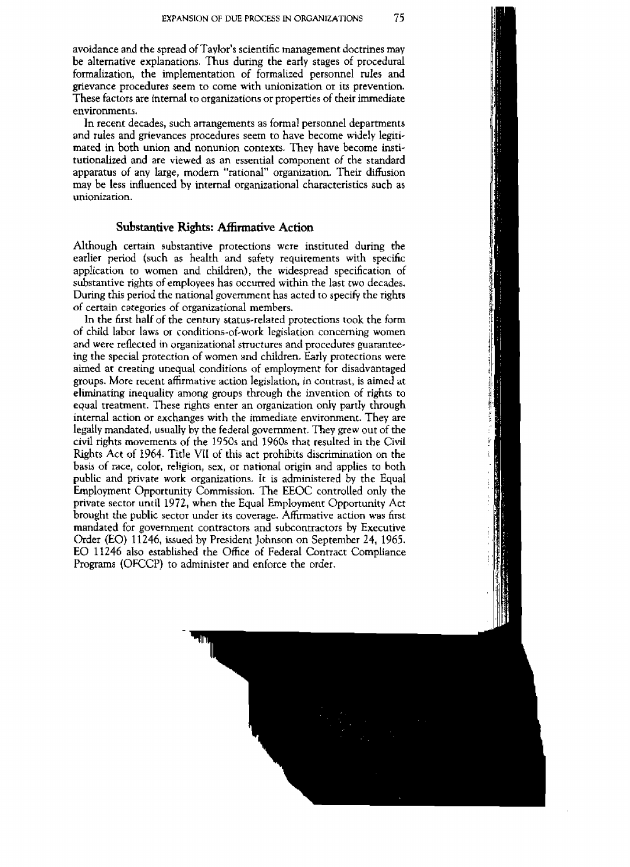**avoidance** and **the spread** of Taylor's scientific management doctrines may be alternative explanations. Thus during the early stages of procedural formalization, the implementation of formalized personnel rules and **grievance procedures seem** to come with unionization or its prevention. These factors are internal to organizations or properties of their immediate environments.

In recent decades, such arrangements as formal **personel** departments and **rules** and grievances procedures seem to have become **widely** legrtimated in both union and nonunion contexts. They have become institutionalized and **are** viewed as **an essential** component of the standard apparatus of **any** large, modern "rational" organization. Their **diffusion**  may be less influenced by internal organizational characteristics such as unionization.

#### **Substantive Rights: Mtmative Action**

Although certain substantive protections were instituted during the earlier period (such as health and safety requirements with specific application to women and children), the widespread specification of substantive rights of **employees** has occurred within the last **two** decades, Dunng this period the national government has acted to specify the rights of certain categories of organizational members.

**In** the first half of the century status-related protections **took the** form of child labor laws or conditions-of-work legislacion concerning women and **were** reflected in organizational structures and procedures guarantee**ing** the special protection of women and children. Early protections were aimed at **creating unequal** conditions of employment for disadvantaged groups. **Morc** recent affirmative action legislation, in contrast, is aimed **at**  eliminating inequality among groups through the invention of rights to equal treatment. These nghts enter an organization only **partly** through internal action or exchanges with **the** immediate environment. They are legally mandated, usually by the federal government. They grew out of the civil rights movements of the 1950s and 1960s that resulted in the Civil **hghts Act of 1964.** Title VtI of this act prohibits discrimination on **the**  basis of race, color, religion, sex, or national origin and applies to both public and private **work** organizations. **It is** administered by the Equal Employment Opportunity Commission. The EEOC controlled only the private sector until 1972, **when** *the* Equal Employment Opportuniry **Act**  brought the public sector under its coverage. **Affrrrnative** action **was first**  mandated for government contractors and subcontractors by Executive Order (EO) 1 1246, issued by President Johnson on September 24, **1965.**  EO **11246** also **established the** Office of Federal **Contract Compliance**  Programs (OFCCP) **to** administer and enforce the order.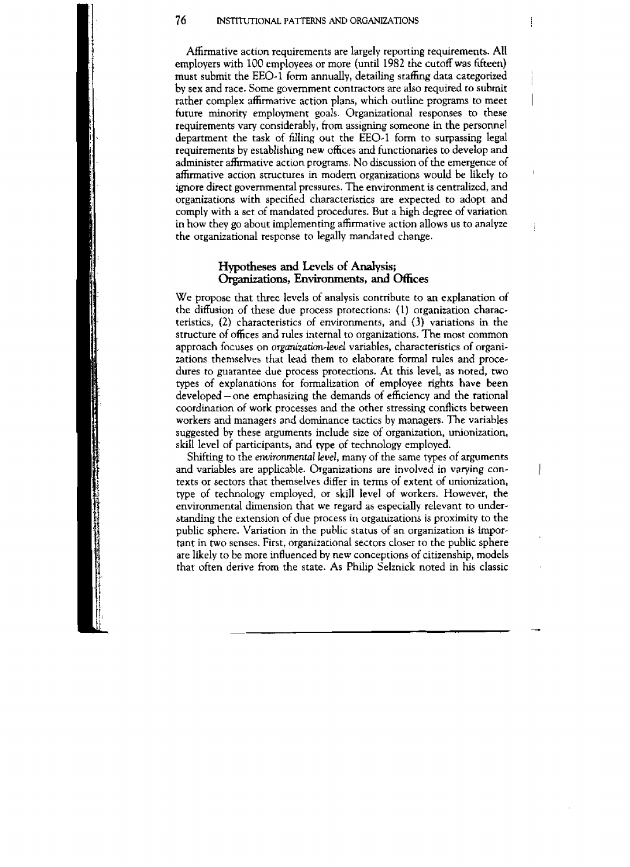Affirmative action requirements are **largely** reporting **requirements. All**  employers with 100 employees or more (until 1982 the **cutoff was** fifteen) must submit **the** EEO-1 **form** annually, **detailing stafling** data **categorized** <sup>i</sup> <sup>i</sup>**by sex** and race. Some government contractors are **aIso** required to submit rather complex affirmative action plans, which outline programs to meet **future** minority **employmenr** goals. Organizational responses to these requirements vary considerably, from assigning someone in the personnel department the task of filling out the EEO.1 form to surpassing legal requirements by establishing **new** offices and functionaries to develop and administer affirmative action programs. No discussion of the emergence of affirmative **action** structures **in modem** organizations would **be** likely to ' **Ignore** direct governmental pressures. The environment is **centralized,** and organizations with specified characteristics are expected to adopt and comply with a set of mandated procedures. But a high degree of variation **in how** they go about implementing affirmative action allows us to **analyze** , the organizational **response** to legally **mandated** change.

#### **Hypotheses** and **LRvels of Analysis; Organizations, Environments, and Offices**

We propose that three levels of analysis contribute to an explanation of the diffusion of these due process protections: (1) organization characteristics, (2) characteristics of environments, and  $(3)$  variations in the structure of **ofices** and rules internal to organizations. The most common approach focuses on *organization-level* variables, characteristics of organizations themselves that lead them to elaborate formal rules and procedures to guarantee due process protections. At this level, as noted, two qpes of **explanations** for formalizarion of employee rights **have been developed** -one **emphasizing the demands of efficiency and the rational coordination** of **work** processes and the other stressing conflicts between workers and managers and dominance tactics by managers. The **variables**  suggested by these arguments include size of organization, unionization, skill level of participants, and type of technology employed.

**Shifting** to the **environmental kuel,** many of the same types **af arguments and variables are** applicable. Organizations **are** involved in varying contexts or sectors rhat themselves differ in terms of extent of unionization, **type** of technology employed, or **skill level of** workers. However, the environmental dimension **rhat we** regard **as** especially **relevant to** understanding the **extension** of due process in organizations is proximity to the **public sphere.** Variation **in** the public status of an organization is important in two senses. First, organizational **sectors** closer to the public sphere are likely to be more influenced by new conceptions of citizenship, **modeIs**  thar often derive from the state. **As** Philip **Selznick** noted in his classic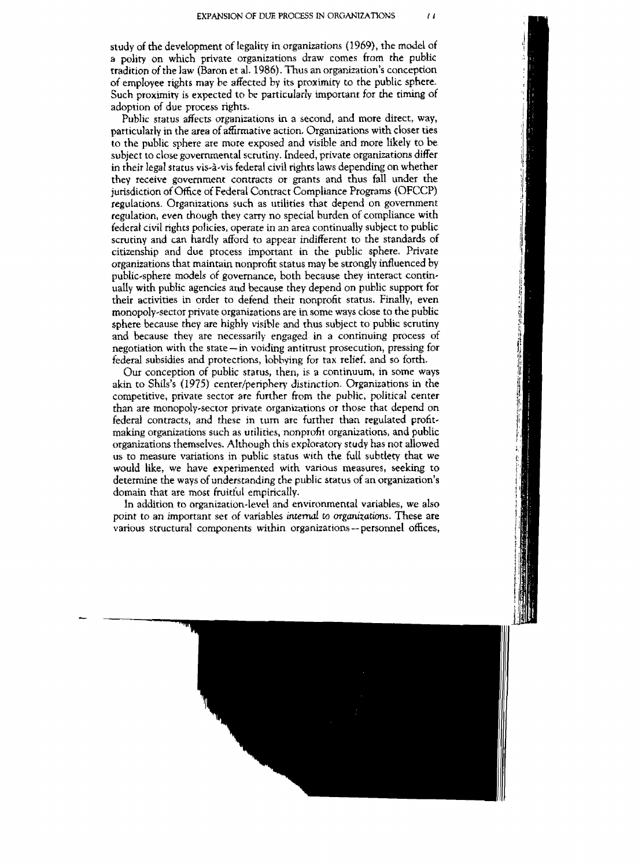**study** of the **development** of legality in organizations (1969), the model of **<sup>a</sup>**polity on which private organizations draw comes from the public tradition of the **law** (Baron et a]. 1986). Thus an **organization's conception**  of **employee** rtghts **may he** affected by its proximity to **the** public sphere. Such proximity is expected to he particularly important for the **riming** of adoption **of due process rights.** 

**Public status affects** organizations in a second, and more direct, way, particularly in the area **of affirmative action,** Organizations **with closer** ties to the public sphere are more exposed and visible and more likely to be **subject** to close **governmental** scrutiny. Indeed, private organizations differ in their legal status **vis-his federal** civil rights laws **depending** on whether **they** receive government contracts or grants and thus fall under the jurisdiction of Office of Federal Conrracr Compliance Programs (OFCCP) **regulations.** Organizations such as utilities that depend on government regulation, even though they carry no **special** burden of compliance with federal civil **rights policies, operate** in an area continually **subject** to public scrutiny and **can hardIy** afford **to** appear indifferent ro the **standards** of citizenship and due process **important in the public** sphere. Private **organizations** that maintain nonprofit status **may** be strongly influenced by public-sphere mdcls of governance, both hecause they interact continually **with** public **agencies and** because they depend on public support for their activities in order to defend their nonprofir status. Finally, even monopoly~sector private organizations are in some **ways close to** the **public**  sphere because they are highly visible and thus subject to public scrutiny and because they are necessarily engaged **in** a continuing process of negotiation with the state - in voiding antitrust prosecution, pressing for federal subsidies and protections, lobbying for tax relief. and so forth.

Our conception of public **status, then, is a** continuum, in some ways **akin to** Shils's (1975) **cenrer/penpheq** distinction. Organizations in the competitive, private sector are further from the public, political center than are monopoly-sector private organizations or those **that depend on**  federal contracts, and these in **turn** are further than regulated profitmaking organizations such as utilities, nonprofit organizations, and public organizations themselves. **Although this** exploratory **study has** not allowed us to measure variations in public status with the full subtlecy **that we**  would **like, we have** experimented with various measures, **seeking to**  determine the **ways** of understanding the public status of an organization's domain that are most **fruitiul** empirically.

In addition to organization-level and environmental variables, we also point to an important **set** of variables **inrenwl to organizations.** These are various structural components within organizations - personnel **offices,**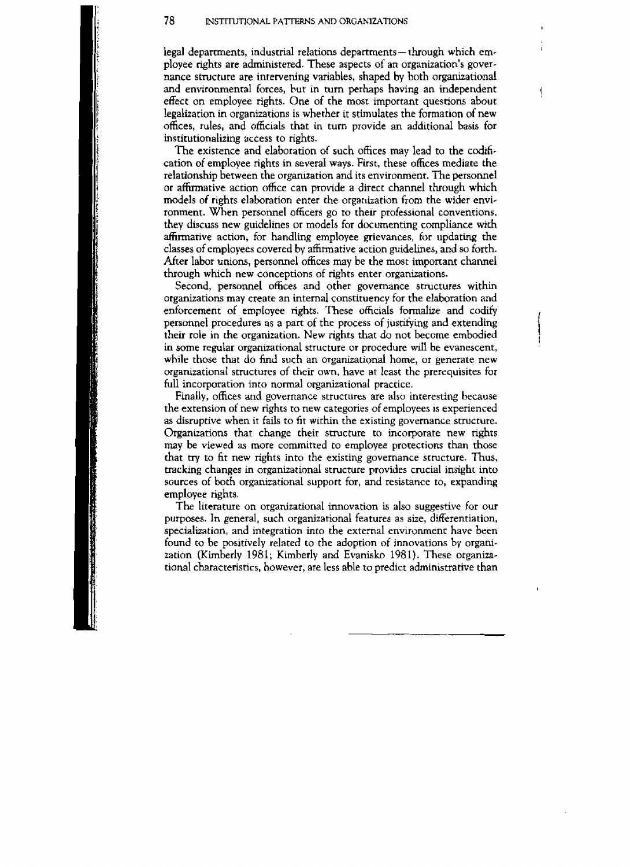legal departments, industrial relations departments- through which em**ployee** nghts are administered. These aspects of an organization's **gover**nance structure **are** intervening **variables, shaped by** both organizational and environmental forces, bur in **turn perhaps having an independent**  effect on employee rights. **One** of the most important **questions** about legalization in organizations is whether it stimulates the formation of new **offices,** rules, and officials that in **turn** provide an additional basis for instirutionalizing **access** to rights.

The **existence** and elaboration of **such** offices may lead to the cdi6 cation of employee rights in several ways. First, these **ofices** mediate **the**  relationship between the organization and its environment. The personnel **or affirmative** action **office** can **provide a** direct channel **through which models** of **rights elaboration enter the orgariization from the wider envi**ronment. **When personnel officers** go to their professional conventions, they discuss **new** guidelines or models for **documenting compliance with affirmative action,** for **handling employee grievances, for** updating **the**  classes of employees **covered** by &affirmative action guidelines, and so forth. After labor unions, personnel offices may be the most important channel **through** which **new** conceptions of rights enter **organizations.** 

Second, personnel **offices** and other governance structures within organizations may create an internal constituency for the elaboration and enforcement of employee rights. These otficials formalize and codify **personnel procedures as a** part of the process of justifying and **extending their role in the organization. New nghts** that do **not** become **embdied**  in **some** regular organizational structure or procedure **will** he evanescent, while those that do find such an organizational **home,** or generate **new**  organizational **structures** of **cheir** own. have at least the prerequisites for full incorporation **into** normal organizarional practice.

Finally, offices and governance structures are also interesting **because**  the extension of new rights **to new categories of** employees **is experienced**  as disruptive when it fails to fit within the existing governance structure. Organizations that change **their** structure **ro incorporate** new rights **may be** viewed as more committed to employee protections than those that try to fit new rights into the existing governance structure. Thus, tracking **changes** in organizational structure provides **crucial insight** into **sources of both organizational support for,** and resistance to, expanding **employee** rights.

**The** literature on organizational innovation is **also suggestive for our**  purposes. In general, such organizational features as size, differentiation, specialization, and integration into the **external** envirunmenr: **have been found to be positively related to the adoption of** innovations **by** organization (Kimberly 1981; **Kimberly** and **Evanisko 1981).** These **organiza**tional chacreristics, **however,** are less able to predict **administrative** than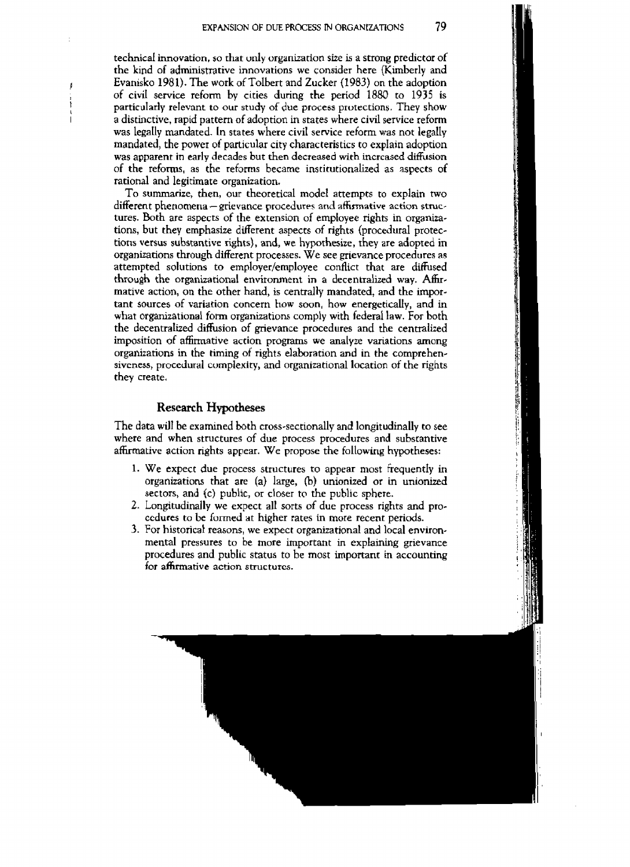**technical innovation, so that unIy organization size is a strong predictor of the kind of administrative innovations we** consider **here (Kimberly** and **<sup>I</sup>Evanisko** 198 **1). The work of ToIbert and Zucker (1983) on the adoption of cid service reform by cities** during **the period** 1880 **to 1935 is**  <sup>I</sup>**particuIarly relevant to our study of due process protections. They show <sup>h</sup>** <sup>I</sup>**a distinctive,** rapid **pattern of adoption in states where civil service** reform **was legaIly** mandated. **In states where civil service** reform **was not legally mandated, the power of particular city characteristics** to **expIain** adoption **was apparent** in **early decades but then decreased with** increased **diffusion of the reforms, as the refarms** became **institutionalized as aspects** of **rational** and legitimate **organization.** 

To summarize, then, our theoretical model attempts to explain two different phenomena – grievance procedures and affirmative action struc**tures. Both are aspects of the extension of employee rights in organiza**tions, but they emphasize different aspects of rights (procedural protec**tions versus substantive rights),** and, **we** hypothesize, **they are adopted m organizations through** different **processes. We see grievance procedures as attempted solutions to employer/employee conflict that are diffused through the organizational environment in a decentralized way. Affirmative action, on the other** hand, **is centrally mandated, and the important sources of variation concern how soon, how energetically, and in**  what organizational form organizations comply with federal law. For both **the decentralized diffusion of grievance procedures and the centralized imposition of affirmative action** programs **we analyze variations among organizations in the timing of rights dabration** and in **the comprehensivcness, procedural complexity, and** organizational location **of the rights they create,** 

#### **Research Hypotheses**

The **data will be examined** bth cross-sectionally **and longitudinally to see where and when structures** of **due process procedures and substantive affirmative action nghts appear. We propose the following hypotheses:** 

- 1. We expect due process structures to appear most frequently in **organizations that are (a) large,** @) **unionized or** in unionized sectors, **and** (c) **public, or closer to the public sphere.**
- **2. Longitudinally we expect all** sorts **of due process rights** and **procedures to be fumed** at **heher rates in more recent periods.**
- **3.** For historical **reasons, we expect** organizational **and local environmental pressures** to **be more important in explaining** grievance **procedures and public status to be mosr important in accounting for affirmative action** structures.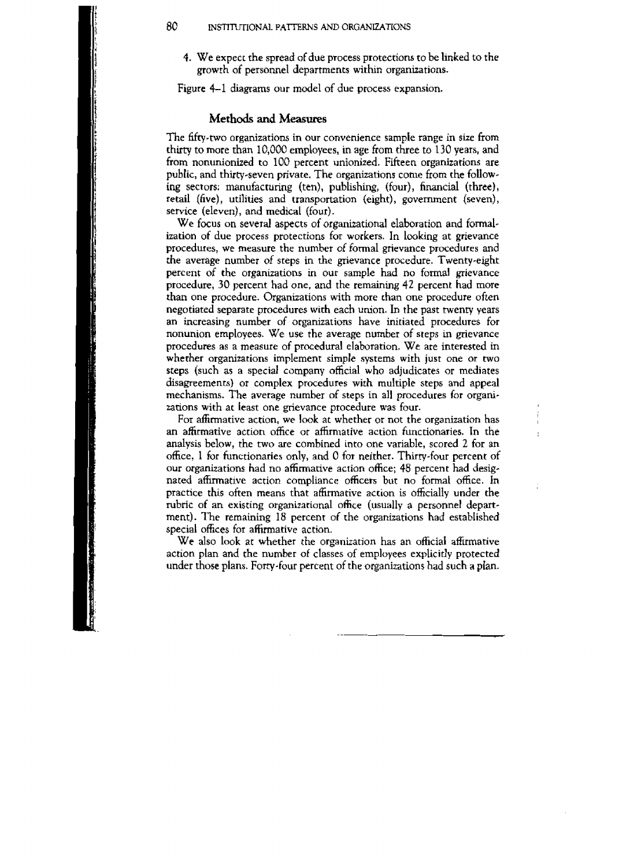**4. We expect the spread** of **due process protections to be linked to the growth of personnel departments withn organirations.** 

**Figure** 4-1 **diagrams** our model of **due process expansion.** 

#### **Methods** and **Measures**

**The** fifty-two **organizations in our convenience sample range** in **size** from **thlrty** to more than 10,000 **employees,** in **age** from three to 130 **years, and from** nonunionized **to 100 percent** unionized. Fifteen organizations **are**  public, and thirty-seven private. The organizations come from the following sectors: manufacturing (ten), publishing, (four), financial (three), **retail (five), utilities and transportation (eight), government (seven), service (eleven),** and **medical** (four).

We focus on several aspects of organizational elaboration and formal**ization** of **due process** protections for **workers.** In **looking** at **grievance procedures, we measure the** number **of** formal gnevance **procedures** and *the* **average** number of **steps in the gnevance procedure. Twenty-elght percent of the organizations in our sample had no** formal **grievance procedure, 30 percent** had one, **and the remaining 42 percent** had **more than one procedure. Organizations with more than one procedure often negotiated separate procedures with each union. In the past twenry years an increasing number of** organizations **have initiated procedures for nonunion employees. We use the average** number of **steps** in **grievance procedures as** a **measure** of **procedural** elaboration. **We are interested in whether organizations implement simple systems with just one or two steps (such as a special company official who** adjudicates or **mediates disagreements)** or **complex procedures with multiple steps** and **appeal mechanisms. The average number of steps in all procedures for organizations with at least one grievance** procedure **was** four.

For **affirmative** action, **we look** at whether **or not the organization has**  an affirmative action office or affirmative action functionaries. In the analysis **below, the two are combined into one variable, scored 2 for an**  office, **1 for functionaries only,** and 0 **for neither. Thirty-four percent of our organizations had no affirmative action** ofice; **48 percent had designated affirmative** action compliance **officers** but **no** formal office. **In practice this often means that affirmative action is officially under the**  rubric **of an existing** organizational **ofice (usually a personnel department). The remaining 18 percent of the organizations** had **established special** offices **for affirmative** action.

**We also look at whether** *the* **organization has** an official **affirmative**  action **plan and** the **number of classes** of **employees explicitly protected**  under those plans. Forty-four percent of the organizations had such a plan.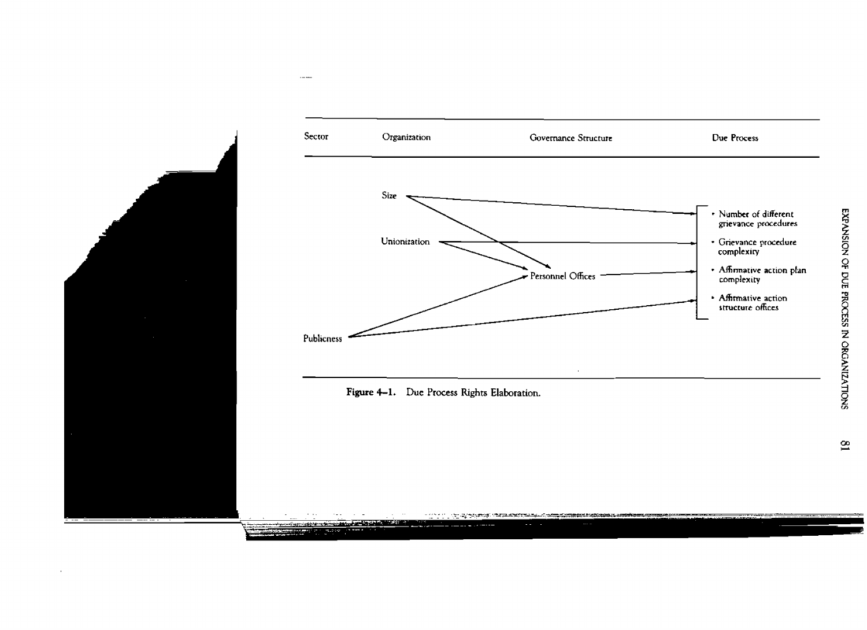

Figure 4-1. Due Process Rights Elaboration.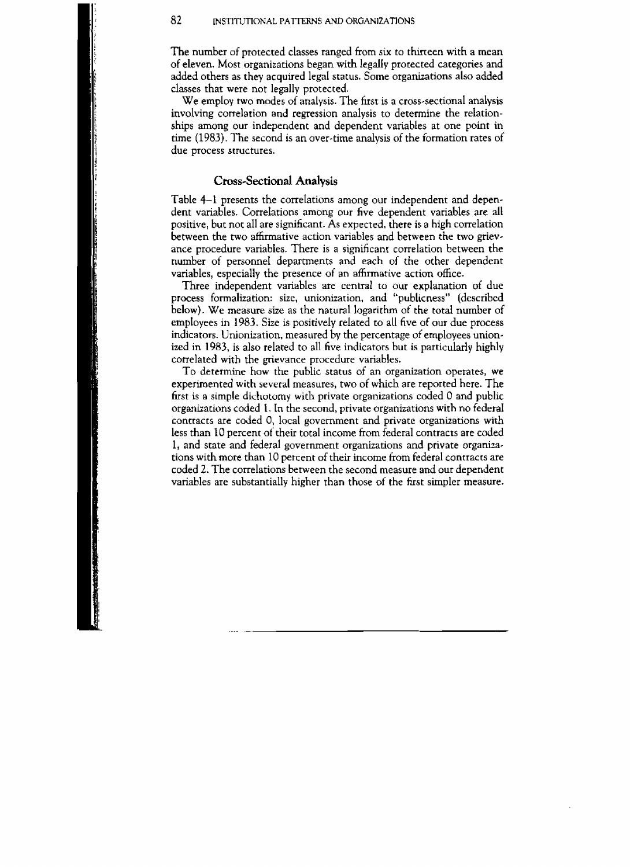The number of protected classes ranged from six **to thirteen with a mean of eleven.** Most organizations began with **IegalIy protected categories and**  added others as they acquired legal **status.** Some **organizations also added**  classes that were not legally protected.

We employ two modes of analysis. The first is a cross-sectional analysis involving correlation and regression analysis to determine the relationships among our independent and dependent variables at one point in time (1983). The second is an over-time analysis of the formation rates of due process **structures.** 

#### **Cross-Sectional Analysis**

Table 4-1 presents the correlations among our independent and dependent variables. CorreIarions among our **five** dependent variables **are all**  positive, bur **not** all are significant. **As** expected, **there** is a high correlation between the two affirmative action variables and between *the* two **gnevance** procedure variables. There is a significant correlation between the number of personnel departments and each of **the other dependent**  variables, **especially the presence of an affirmative** action **office.** 

Three independent variables are central to our **explanation of** due process formalization: size, unionization, and "publicness" (described below). We measure size as the natural logarithm of the total number of **employees** in 1983. Size is positively related to **all five** of our due process **indicators.** Unionization, measured by the percentage of employees unionized in 1983, is also related to all five **indicators** but **is** particularly highly correlated with the grievance procedure variables.

To determine **how** the public status of an organization operates, **we**  experimented **with several** measures, **two** of which **are** reported here. **The**  first is a simple dichotomy with private organizations coded 0 and public organizations coded 1. In the second, private organizations with no federal **contracts are** coded 0, local government and private organizations with less than 10 percent of their total income **from** federal contracts **are coded**  1, **and stare** and federal government organizations and **private organiza**tions **with** more than 10 percent of their income from federal contracts are coded 2. The correlations **between** the second measure and our dependent variables are substantially higher than **thvse** of the *hst* simpler measure.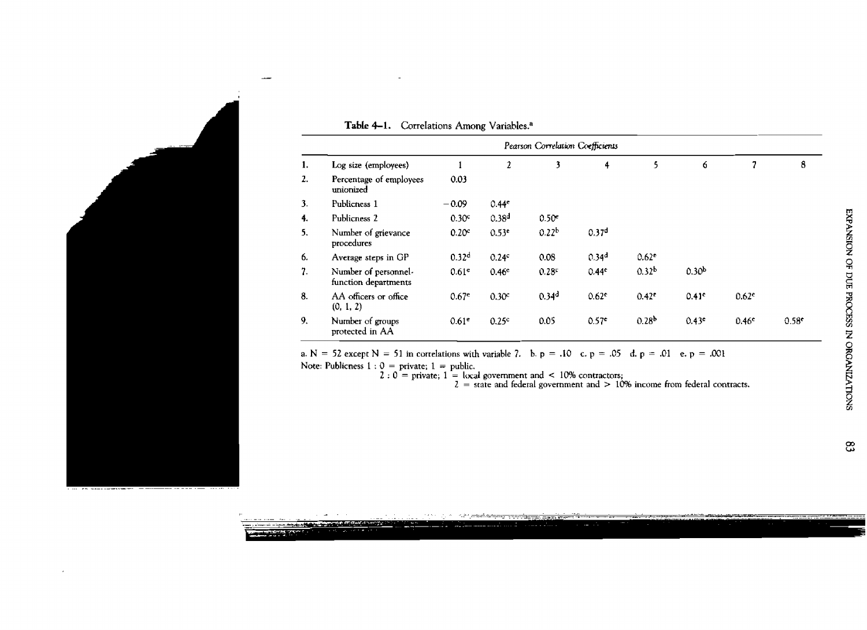|    | Pearson Correlation Coefficients             |                   |                   |                   |                   |                   |                   |                   |      |
|----|----------------------------------------------|-------------------|-------------------|-------------------|-------------------|-------------------|-------------------|-------------------|------|
| 1. | Log size (employees)                         |                   | 2                 | 3                 | 4                 | 5                 | 6                 | 7                 | 8    |
| 2. | Percentage of employees<br>unionized         | 0.03              |                   |                   |                   |                   |                   |                   |      |
| 3. | Publicness 1                                 | $-0.09$           | 0.44 <sup>e</sup> |                   |                   |                   |                   |                   |      |
| 4. | Publicness 2                                 | 0.30 <sup>c</sup> | 0.38 <sup>d</sup> | $0.50^{\circ}$    |                   |                   |                   |                   |      |
| 5. | Number of grievance<br>procedures            | 0.20 <sup>c</sup> | 0.53 <sup>e</sup> | 0.22 <sup>b</sup> | 0.37 <sup>d</sup> |                   |                   |                   |      |
| 6. | Average steps in GP                          | 0.32 <sup>d</sup> | 0.24c             | 0.08              | 0.34 <sup>d</sup> | 0.62 <sup>c</sup> |                   |                   |      |
| 7. | Number of personnel-<br>function departments | 0.61 <sup>e</sup> | 0.46 <sup>e</sup> | $0.28^{\circ}$    | 0.44 <sup>c</sup> | 0.32 <sup>b</sup> | 0.30 <sup>b</sup> |                   |      |
| 8. | AA officers or office<br>(0, 1, 2)           | 0.67 <sup>e</sup> | 0.30 <sup>c</sup> | 0.34 <sup>d</sup> | $0.62^{\circ}$    | 0.42 <sup>c</sup> | 0.41c             | 0.62 <sup>e</sup> |      |
| 9. | Number of groups<br>protected in AA          | 0.61 <sup>e</sup> | 0.25c             | 0.05              | 0.57 <sup>c</sup> | 0.28 <sup>b</sup> | 0.43 <sup>c</sup> | 0.46 <sup>e</sup> | 0.58 |

#### Table 4-1. Correlations Among Variables.<sup>a</sup>

a. N = 52 except N = 51 in cortelations with variable 7. b. p = .10 c. p = .05 d. p = .01 e. p = .001 Note: Publicness  $1: 0 =$  private;  $1 =$  public.

 $2 : 0$  = private; 1 = local government and < 10% contractors;<br>  $2 =$  state and federal government and > 10% income from federal contracts.

ස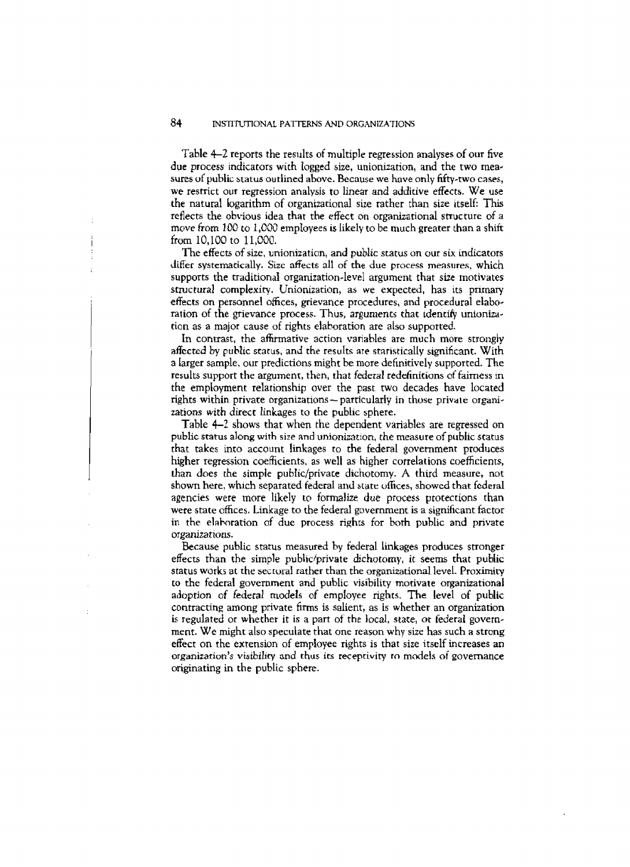Table 4-2 reports the results of multiple regression analyses of our five due process indicators with logged size, unionization, and the two mea**sures** of **status outlined above. Because we** have only **fifty-two cases, we** restrict our **regression** analysis **to linear** and **additive effects.** We **use the** natural logarithm of organtzational **size** rather than size itself: This reflects the obvious idea that the effect on organizational structure of a move from 100 **to** 1,009 employees **1s likely** to be much **greater** than a **shift**  from 10,100 to 11,000.

The effects of size, unionization, **and** *public* **starus an** our **six indicators differ systematically. Size affects all** of **the due** process **meastlres,** which supports the traditiona1 organization-level argument that size motivates structural complexity. Unionization, as we expected, has its primary eflects on personnel offices, grievance procedures, and **procedural** elaboration of the grievance process. Thus, arguments that identify unionization as a major cause of rights elahoration are also supported.

In contrast, the affirmative action variables are much more strongly **affccted** by **public status,** and **the** results are staristically stgnificant. With a Larger sample, our predictions might be more definitively supported. The results support the argumenr, then, **rhat** federal redefinitions of fairness m the **employment** relationship over the Fast two **decades have** located rights within private organizations – particularly in those private organizations with direct linkages to the public sphere.

Table **4-2,** shows that when the dependent variables are regressed on public **status along with size and** unionizat:on, the **mzasure** of public status that **takes** lnto account **linkages** to the federal **govemment** produces higher regression coefficients, as well as higher correlations coefficients, than **does** the simple pubIic/privace dichotomy. A third measure, not shown here, which separated federal and state offices, showed that federal agencies were more likely to formalize due process protections than **were state offices. Linkage** to the federal **government** is a significant factor in the elaboration of due process rights for both public and private **organizat~ons.** 

**Because public status measured** by federal linkages produces stronger effects than the simple **public~private** dchotomy, **it seems** that **public status works** at the **seitural** rather than the organizational level. **Proximiry LO** the **federal** government and public visibility **motivate** organizational adoption of federal models of employee nghts. The **level** of **public**  contracting among private firms is salient, as is whether an organization **is** regulated or whether it is a part of the **local, state, or federal** government. **We** might also speculate that one reason why size has **sucb a strong effect** on the **extension** of employee rights is that size itself increases **an**  organization's visibility and thus its receptivity to models of governance originating in the public sphere.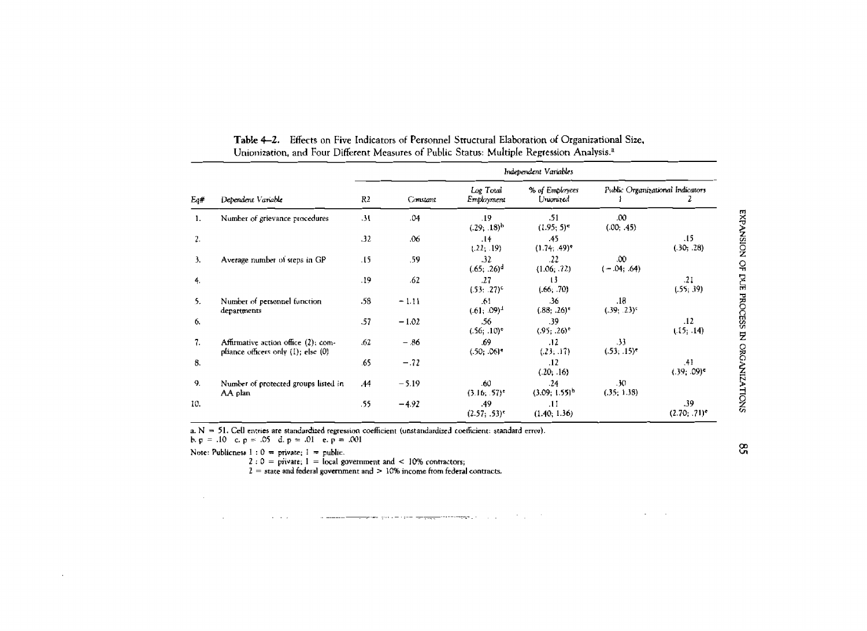|        | Dependent Variable                                                         | Independent Variables |          |                               |                             |                                  |                        |  |
|--------|----------------------------------------------------------------------------|-----------------------|----------|-------------------------------|-----------------------------|----------------------------------|------------------------|--|
| $E_4#$ |                                                                            | R2                    | Constant | Log Total<br>Employment       | % of Employees<br>Uniorazed | Public Organizational Indicators |                        |  |
| 1.     | Number of grievance procedures                                             | -31                   | .04      | .19<br>$(.29; .18)^{h}$       | .51<br>$(1.95; 5)^{e}$      | .00<br>(.00; .45)                |                        |  |
| 2.     |                                                                            | .32                   | .06      | .14<br>(.22; .19)             | .45<br>$(1.74; .49)^*$      |                                  | .15<br>(.30; .28)      |  |
| Э.     | Average number of steps in GP                                              | .15                   | .59      | $_{\rm 32}$<br>$(.65; .26)^d$ | .22<br>(1.06; .72)          | .00<br>$(-.04; .64)$             |                        |  |
| 4.     |                                                                            | .19                   | .62      | .27<br>$(.53; .27)^c$         | 13<br>(.66, .70)            |                                  | .21<br>(.55; .39)      |  |
| 5.     | Number of personnel function<br>departments                                | .58                   | $-1.11$  | .61<br>$(.61; .09)^4$         | .36<br>(.88; .26)           | .18<br>$(.39; .23)^c$            |                        |  |
| 6.     |                                                                            | .57                   | $-1.02$  | .56<br>$(.56; .10)^e$         | .39<br>$(.95; .26)^e$       |                                  | .12<br>(.15; .14)      |  |
| 7.     | Affirmative action office (2); com-<br>pliance officers only (1); else (0) | .62                   | - 86     | .69<br>$(.50; .06)*$          | .12<br>(23, 17)             | 33<br>$(.53; .15)^*$             |                        |  |
| 8.     |                                                                            | .65                   | $-.72$   |                               | .12<br>(.20; .16)           |                                  | .41<br>$(.39; .09)^c$  |  |
| -9.    | Number of protected groups listed in<br>AA plan                            | .44                   | $-5.19$  | .60<br>$(3.16, .57)^*$        | .24<br>$(3.09; 1.55)^{h}$   | . JO<br>(35, 1.38)               |                        |  |
| 10.    |                                                                            | .55                   | $-4.92$  | .49<br>$(2.57; .53)^{c}$      | .11<br>(1.40; 1.36)         |                                  | .39<br>$(2.70; .71)^*$ |  |

Table 4-2. Effects on Five Indicators of Personnel Structural Elaboration of Organizational Size, Unionization, and Four Different Measures of Public Status: Multiple Regression Analysis.<sup>a</sup>

a.  $N = 51$ . Cell entries are standardized regression coefficient (unstandardized coefficient: standard error).

b.  $p = .10$  c.  $p = .05$  d.  $p = .01$  e.  $p = .001$ 

Note: Publicness  $1:0 =$  private;  $1 =$  public.

 $2:0 =$  private;  $1 =$  local government and < 10% contractors;

 $2 =$  state and federal government and  $> 10\%$  income from federal contracts.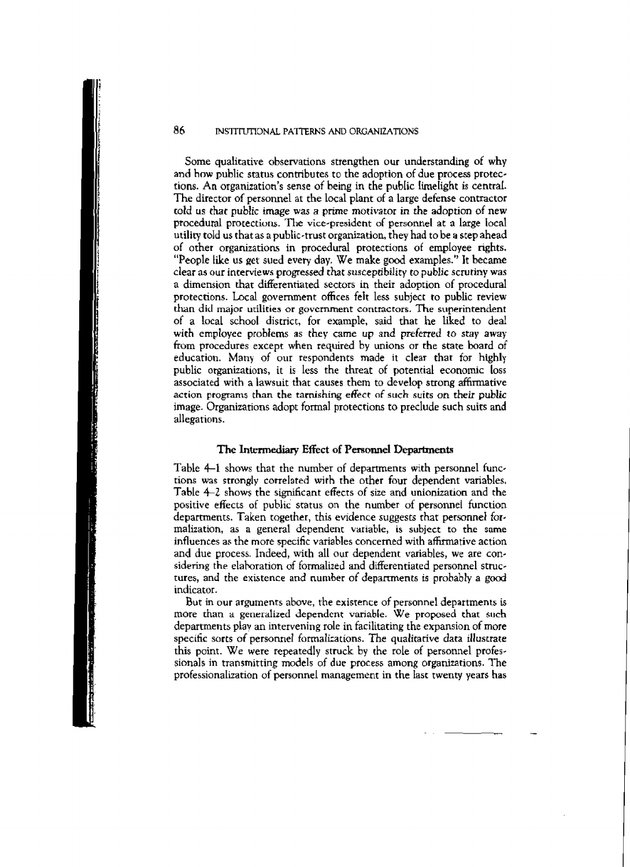#### 86 **INSTITUTIONAL PATTERNS AND ORGANIZATIONS**

**Some qualitative** observations **strengthen our understanding of why and how public status contributes** to **the adoption of due process protections. An** organization's **sense of bemg in the** pubIic **[helight is central. The director of personnel at the local plant of a large defense** contractor **told us that public image was** a **prime motivator in** *the* **adoption of new**  procedural protections. The vice-president of personnel at a large local **utility told us that as a public-trust organization, they had to be** a **step ahead of other organizations in** procedural protections **of employee rights. "People like us get sued evev** day. **We make good examples."** It **became clear as** our **interviews progressed that susceptibility to public scrutiny was a** dimension **that differentiated sectors in their** adoption **of** procedural **protections.** Local **government offices felt less subject to public review than** did **major utiliciea or government contractors. The superintendent of a** local school **district, for example,** said that **he liked** to **deal with employee** problems as **they came up** and **preferred** *to* **stay away from procedures except when required** by **unions or the state board** of **education. Many** of **our respondents** made it **clear that** for highly **public organizations, it is less the threat of potential economic loss associated with a lawsuit that causes them to develop** strong **affirmative action programs** than **the tarnishing effect** of **such suits on** *their* **public image. Organizations adopt** formal **protections to preclude** such **suits and allegarions.** 

#### **The Intermediary Effect of Personnel** Departments

**Table 4-1** shows **that the number of deparrrnents with personnel** func. tions **was strongly correlated** with **the other four dependent variables.**  Table 4-2 shows the significant effects of size and unionization and the **positive** effects **of public status on the number** of **personnel function departments.** Taken together, this evidence suggests that personnel formalization, **as a general dependent variable, is subject** to **the same influences as** the **more specific variables concerned with affirmative action and due process.** Indeed, **with all** our **dependent variables, we are** con**sidering the** elahration of **formalized and differentiated personnel structures, and the existence and number of departments is** probably **a** god indicator.

**But in our arguments above,** rhe **existence** of **personnel departments is**  more than a generalized dependent variable. We proposed that such **deparnnents play an intervening role in facilitating the expansion of more specific sorts** of personnel formalizations. *The* **qualitative data illustrate this** point. **We were repeatedly struck by the** role of **personnel professionals in transmitting models of due process** among **organizacions.** The **professionalization** of **personnel** management **in** the **last twenty years has**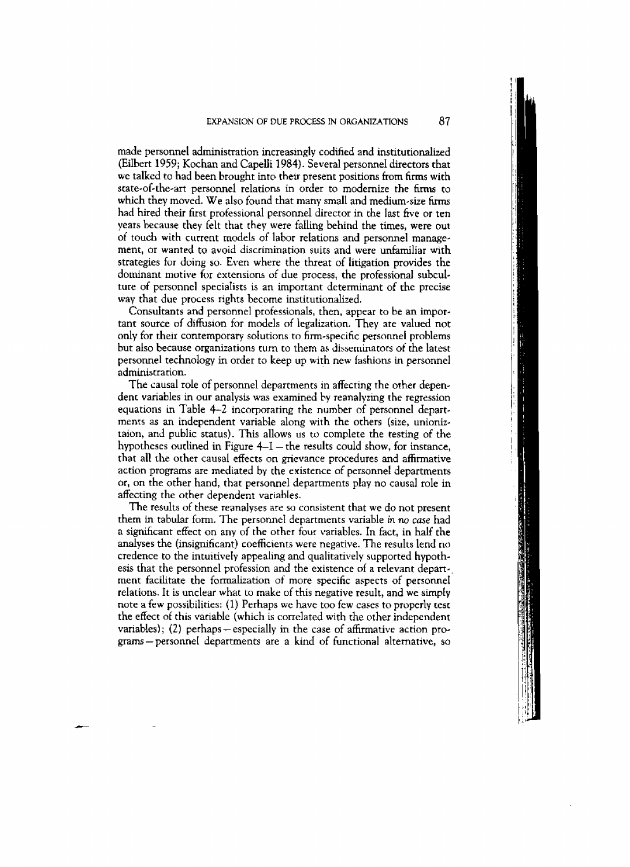**made** personnel administration increasingly **codified** and institutionalized (EiIbert 1959; Kochan and **Capelli** 1984). Several **persome1 directors that**  we talked to had been brought into their present positions from firms with state-of-the-art personnel relations in order to modernize the firms **to which** they moved. We also found that many small and medium-size hrms **had** hired **their** first **professional** personnel director **in** the last **five** or ten years because they felt that they were falling behind the times, were out of touch with current models of labor relations and personnel **manage**ment, or wanted to avoid discrimination suits and were unfamiliar with strategies for doing so. Even where the threat of litigation provides the dominant **motive for** extensions of due process, the professional subcuI**ture** of personnel specialists is **an** important determinant of the precise way that due process rights become institutionalized.

Consuitants and personnel professionals, then, **appear** to **be** an important **source** of diffusion for models of **legalization. They** are valued not only for their contemporary solutions to firm-specific personnel problems but also because organizations **turn** to them as disseminators ot'the latest personnel technology in order to keep up **with new** fashions **in** personnel administration.

The causal role of personnel departments in affecting the other depen**dent variables in our** analysis **was** examined by reanalyzing the regression equations in Table  $4-2$  incorporating the number of personnel departments as an independent variable along with the others (size, unioniztalon, and public status). This allows us to complete the testing of the hypotheses outlined in Figure 4-1 - the results could show, for instance, that **all** the other **causal** effects on **grievance** procedures and affirmative action programs **are mediated** by **the** existence of personnel departments or, on the other hand, that personnel departments **play** no causal role in affecting the other dependent variables.

The results of these reanalyses are so consistent that we do not **present**  them in tabular form. The personnel departments variable in no case had a significant effect on any **of** the other four variables. In **fact,** in half the analyses the (insignificant) coefficients were **negative.** The **resuIts lend** no credence to the intuitively appealing and qualitatively supported hyporh**esis that the** personnel profession and the existence of a **relevant** depart-, ment facilitate the formalization of more specific **aspects** of **personoel**  relations. It is unclear what to **make** of this negative result, and **we simply note a few** possibilities: (1) Perhaps we have too **few cases** to properly test the effect of this variable (which is correlated with the other independent variables); (2) perhaps—especially in the case of affirmative action pro**grams-personnei** departments are a kind of functional alternative, so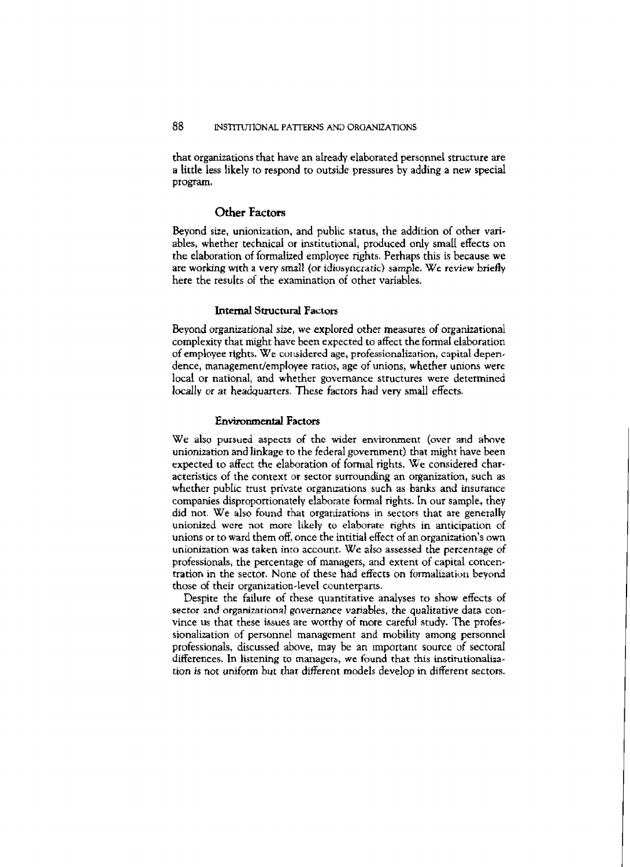that organizations that have an already elaborated personnel structure are a **little less likely to respond to** outside **pressures by adding a** new **special**  program.

#### **Other Factors**

**Beyond size, unionization, and public status, the** addition **of other variables, whether technical or institutional, prduced** only **small effects on the** elaboration of **formalized employee** nghts. **Perhaps this is because we**  are working with a very small (or *idiosyncratic*) sample. We review briefly **here** the **results of the examination of other variables.** 

#### **Internal Structural Factors**

Beyond **organizational** *size,* we **explored** other **measures of** organizational **complexity that might have been expected to affect the formal** eIaboration of employee rights. We considered age, professionalization, capital depen**dence, managemendemployee ratios, age of unions, whether** unions **were**  local **or** national, and **whether governance structures were determined locally or at headquarters. These factors** had **very small effects.** 

#### **Environmental Factors**

**We alsv pursued aspects of thc wider** environment **(over and ahve**  unionization and **linkage to the federal government)** that might **have been expected to affect the elaboration of formal rights. We considered characteristics** of the **context** or **sector surroundmg an** organization, such **as**  whether public trust private organizations such as banks and insurance **companies** dispraportionately **elaborate formal rights. In our** sample, they **did** not. We also **found that organizations m sectors that are generally unionized** wcre not **more likely to elaborate rights in anticipation of unions or to ward them off.** once the inritial **effect of an organization's own unionization was taken into account. We also assessed** the *percentage* **of professionals, the percentage of managers, and extent of capital concen**tration **in the** sector. None of **these** had **effects on** fomalizatioti beyond **those** of **their organization-level counterparts.** 

**Despite the failure of these quantitative analyses to show effects of sector and organizational governance variables,** *the* **qualitarive** dara con**vince us that these issues are worthy of more careful** study. **The professionalization** of **personnel management** and **mobility among personnel professionals, discussed above, may be an important source of sectoral** differences. In listening to managers, we found that this institutionaliza*tion* **is** not uniform *but* **thar different models develop in** different **sectors.**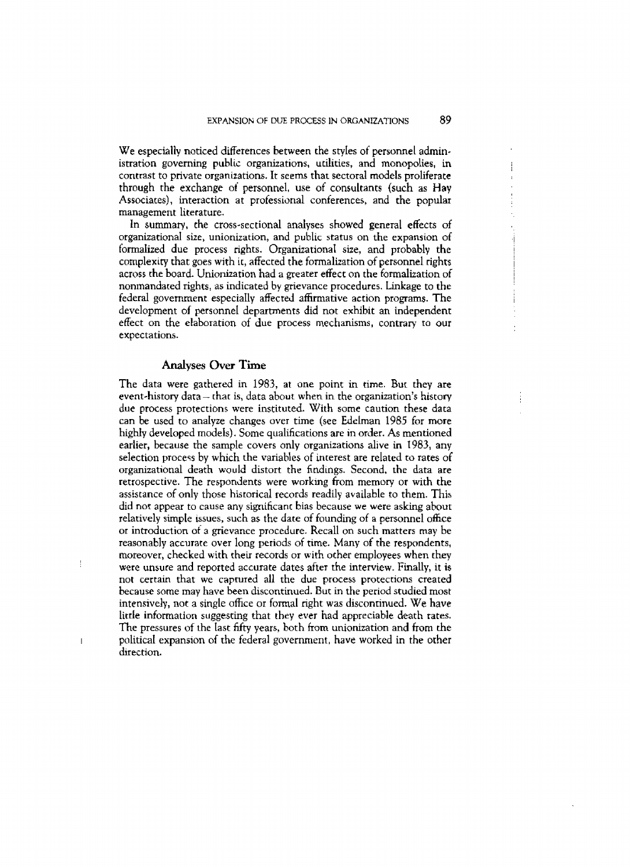**We especially** noticed **differences** between **the** styIes of personnel administration governing public organizations, utilities, **and** monopolies, in contrast to **private** organizations. It **seems** that sectoral models proliferate through the exchange oi personnel, use of consultants (such as **Hay**  Associates), interaction at professional conferences, and the popular management literature.

In **summary,** the cross-sectional analyses showed general effects of organizationa1 size, **unionization,** and public **status** on the **expansion** of formalized due process rights. **Organizational size,** and probably the complexity that goes with **it, affected** the formalization of personnel rights across the board. Unionization **had** a **greater** effect **on the** formalization **of**  nonmandated **rights,** as indicated **by** grievance procedures. Linkage to **the**  federal **government** especiaIly affected affirmative action programs. The **development** of personneI deparments did not exhibit an independent effect on the elaboration of due **process** mechanisms, **contrary to our**  expectations.

#### **Analyses Over Time**

The data **were** gathered in 1983, at one point in time. Bur **they** are event-history data - that is, data about when in the organization's history due process protections **were** instituted. With **some** caution these data can be **used** to **analyze** changes over time (see Wrlman 1985 for **more**  higldy **deveIoped** models). **Somc** qualifications are in order. **As** mentioned earlier, because the sample covers only organizations **alive** in 1983, any selection process by which the variables of interest are related **to** rates of organizational death would distort the findings. Second, the data are retrospective. The respondents **were working** from **memory or with the assistance** of **only** those historical records readily available to them. This did not appear to cause any significant bias because we were **asking about**  reIatively **simple issues,** such **as the date** of founding of a personnel **ofice**  or inrroduction ot 3 grievance procedure. Recall on such matters **may** be reasonably accurate over long periods of time. Many of the respondents, moreover, checked with their records or **with** ocher **employees when they** ! **were** unsure and reported accurate dares after **the** interview. Finally, **it** is **not** certain **that we caprured all the due process protections created because some** may **have been** discontinued. **But in the** period **studied most**  intensively, not a single office or formal right was discontinued. We have little information suggesting **that** they **ever** had **appreciable** death **rates.**  The pressures of the **Iast fifty** years, both from unionization and from the political expansion of the federal government, have worked in the other direction.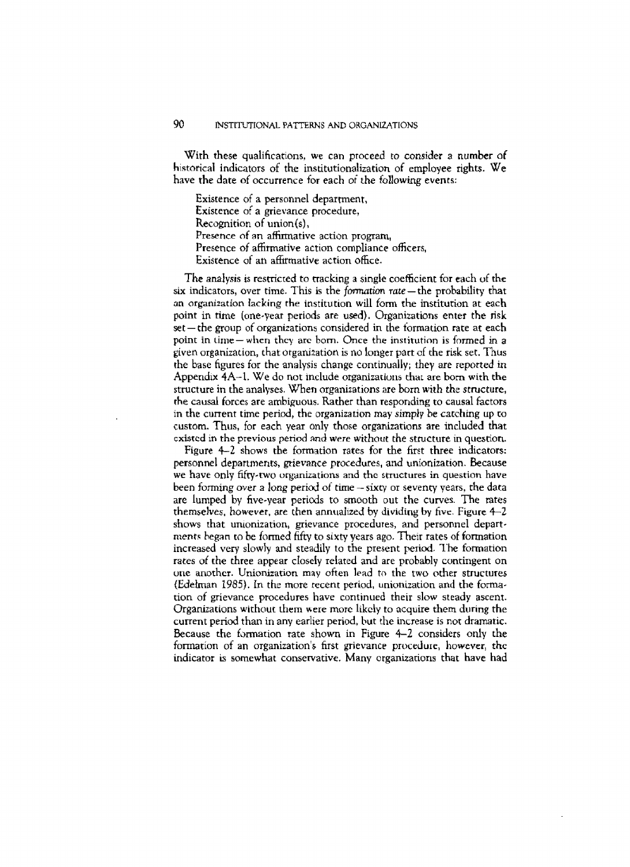With **these** qualifications, **we** can **proceed** to *consider* **a number** of **historical** indicators of **the institutionalization of employee rights. We have the date of clccurrence for** each of *the* **fallowmg events:** 

**Existence** of **a** personnel department, **Existence** of a grievance procedure, Recognition of union(s), **Presence of an affirmative action program. Presence of affirmative** action compliance **officers, Existence of an affirmative action office.** 

The analysis is restricted to tracking a single coefficient for each of the **six** indicators, over time. This is the *formation rate* – the probability that **m organization lacking** the institution **will** form the institution **at each point in time (one-year periods are used). Organizations enter the risk set** - che **group** of organizations considered in [he iormation **rate ac each point** in **time** - **when** thcy **arc** born. **Once the institutinn is** formed **in <sup>a</sup>** given organization, that organization is no **longer part** of **the risk** set. Thus **the** base figures **for the analysis change** continually; **rhey are** *reported* in Appendix 4A-1. We do not include organizations that are born with the **structure** in the **analyses.** When organizations are born *with the* **stmcture, the causal forces are ambiguous. Rather than responding to causal** factors **in the current** time **period,** the organization **may simply he catching up co custom. Thus, for each year** only those organizations **are included that cxistcd in the previous period** and *were* **without the structure in question.** 

**Figure 4-2 shows the** formation **rates for the first three indicators: personnel departmenrs, grievance procedures, and unionization. Because we have** only fififty.two **organizations** and thc **structures** in **question have**  been fvming *over* a long perid of **time** - **sixq** or **sevrncy** years, **the data are lumped by five-year periods to smooth out the curves. The rates themselves, however, are then annualized by dividing by five. Figure 4-2 shows that unionization, grievance procedures,** and personnel **depart***ments* began to *be* firmed fifty **to sixty years** ago. Their **rates of formation increased very slowly** and **steadily to** the **present perid. ?'he formation**  rates of the three appear closely related and are probably contingent on **ur~e** anothcr. **Unionization may** often **lead** to the two other **structures**  (Edelman **2985). In** the more recent period, unionization and **the** forma**tion** of **grievance procedures** have continued their **slow steady** ascenr. Organizations **without them Here** more **likely** to **acquire** them **during the current perid** than in **any** earlier **period, but the increase is not dramatic. Because** the farmation rate shown in Figure 4-2 **considers** only **the**  formation of an organization's first grievance procedure, however, the indicator is **somewhat conservative. Many** organizations **that have** had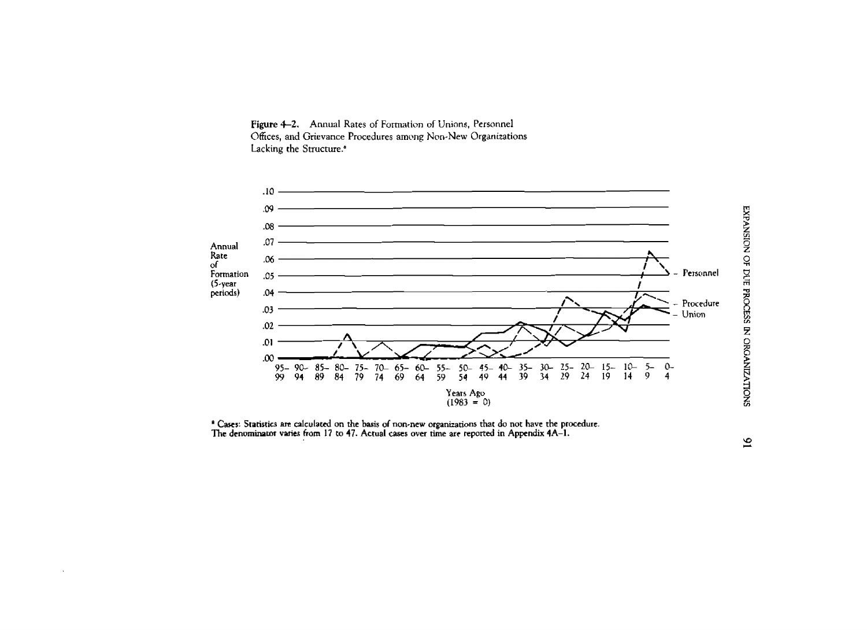



<sup>a</sup> Cases: Statistics are calculated on the basis of non-new organizations that do not have the procedure. The denominator varies from 17 to 47. Actual cases over time are reported in Appendix 4A-1.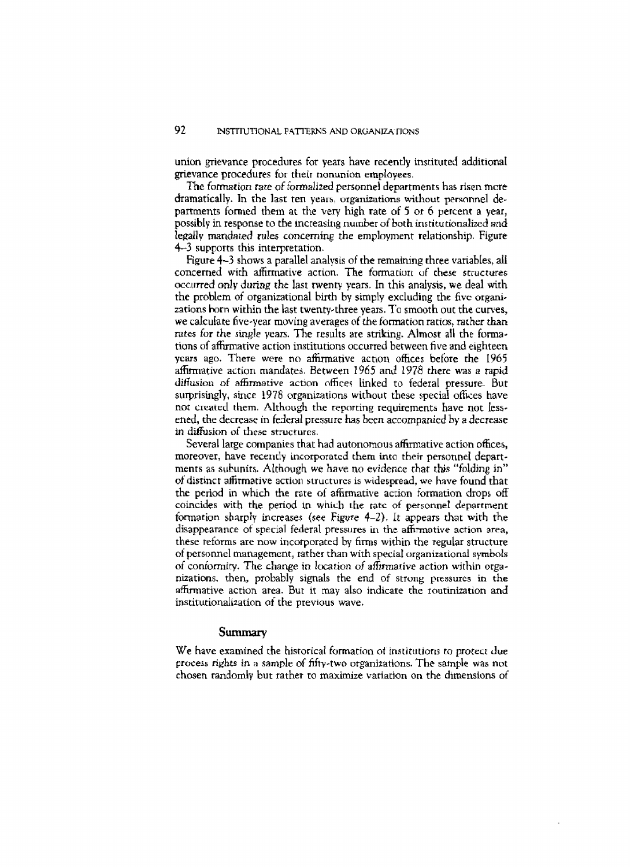union grievance **procedures** for **years have recently** instituted additional grievance **procedures** for their nonunion **employees.** 

*The* fomrion *rate* **of** formalized **personnel departments has risen** more dramatically. In the last ten years, **organizations** without **persnnnel** de**partments** formed hem **at** the veq high **rate** of *5* or *6* **percent** a year, **possibly** in **response** to the increasing number of both institutionalized and **legally manda~ed** rules concerning the employment relationship. Figure 4-3 supports this interpretation.

Figure 4-3 **shows** a parallel **analvsis** of the remaining three variables, **all**  concerned with affirmative action. **The** forma **tiurt** uf **these structures**  wc.t~red only *during* **rhe** last twenty **years. In** this **analysis, we** deal with the problem of organizational birth by **simply excluding the five** organizations **horn** within the last twentythree years. To smooth ouc **the** cuwes, **we** calculate **five-year** milving **averages** of *the* formation **ratios,** rather &an *rates for the single years. The results are striking. Almost all the forma*tions of affirmative action institutions occurred between five and eighteen **ycars ago.** There **were** no **affirmative** action **offices before** the **I965**  affirmative **action mandates. Between** 1965 and 1978 **there was** a **rapid diffusion of affirmative action** 06res **linked** to federal **pressure.** But **surprisingly, since** 197 6 organizations without **these special** offices have nor **created** them, Although the repnrting **requirements** have not lessened, the decrease in **federal pressure has** been accompanied **by** a **decrease in diffusion** of **these** structures.

Several large companies that had autonomous **affirmative** action offices, moreover, have recently incorporated them into their personnel depart**ments as subunits. Although we** have nu *evidence that* **this** "folding in" of **disrinct affirmative acriori** structures is **widespread, we** have found that **the period** in which **the rate of afFirmarive** action formation drops off coincides **with the** period in **which the tatc** of **personnel department**  formation **sharply increases (see Figure 4-2).** *It* **appears that wirh rhe**  disappearance of special federal pressures in the affirmative action area, these reforms are now incorporated by **firms within the regular** structure of personnel management, rather than with **special organizational symbols of** contormity. **The change in** location of **afinnarive** action within organizations, then, probably signals the end of **strung** pressures in the affirmative action **area.** But it may also indicate the **routinizacion and**  institutionalization **af** the **previous wave.** 

#### summary

**We have examined** the historical formation **of** institutions **to protect due process** *rights* **in 3 sample** of **fifty-twc,** organizations. The sample **was** not chosen **randomly but** rather to **maximize** variarion **on** the **dimensions** of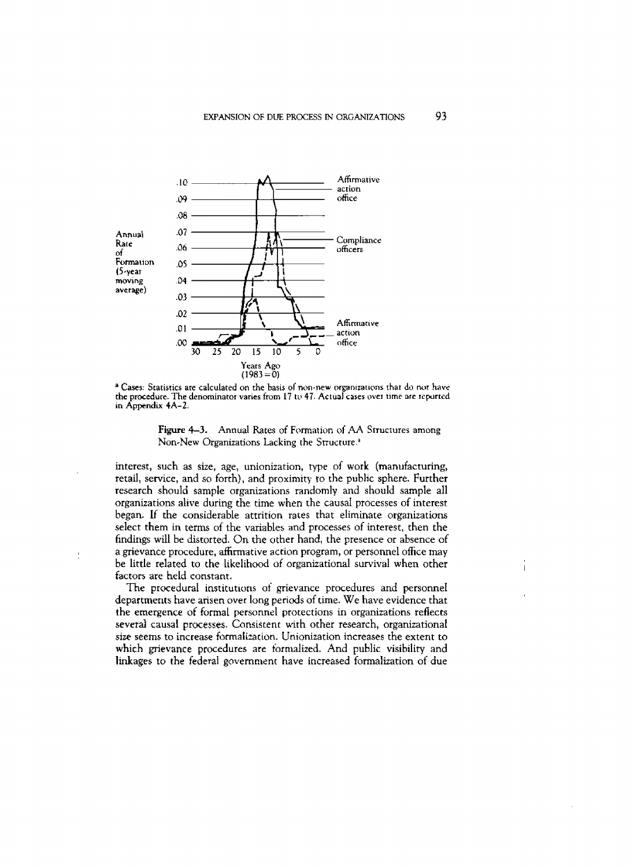

<sup>a</sup> Cases: Statistics are calculated on the basis of non-new organizations that do not have the procedure. The denominator varies from 17 to 47. Actual cases over time are repurted in Appendix 4A-2.

**Figure 4-3.** Annual Rates of Formation of AA Structures among Non-New Organizations Lacking the Structure.<sup>3</sup>

interest, such as size, age, unionization, type of work (manufacturing, retail, service, and so forth), and proximity to the public sphere. Further research should sample organizations randomly and should sample all organizations alive during the time when the causal processes of interest began. If the considerable attrition rates that eliminate organizations select them in terms of the variables and processes of interest, then the findings will be distorted. On the other hand, the presence or absence of a grievance procedure, affirmative action program, or personnel office may be little related to the likelihood of organizational survival when other factors are held constant.

The procedural institutions of grievance procedures and personnel departments have arisen over long periods of time. We have evidence that the emergence of formal personnel protections in organizations reflects several causal processes. Consistent with other research, organizational size seems to increase formalization. Unionization increases the extent to which grievance procedures are formalized. And public visibility and linkages to the federal government have increased formalization of due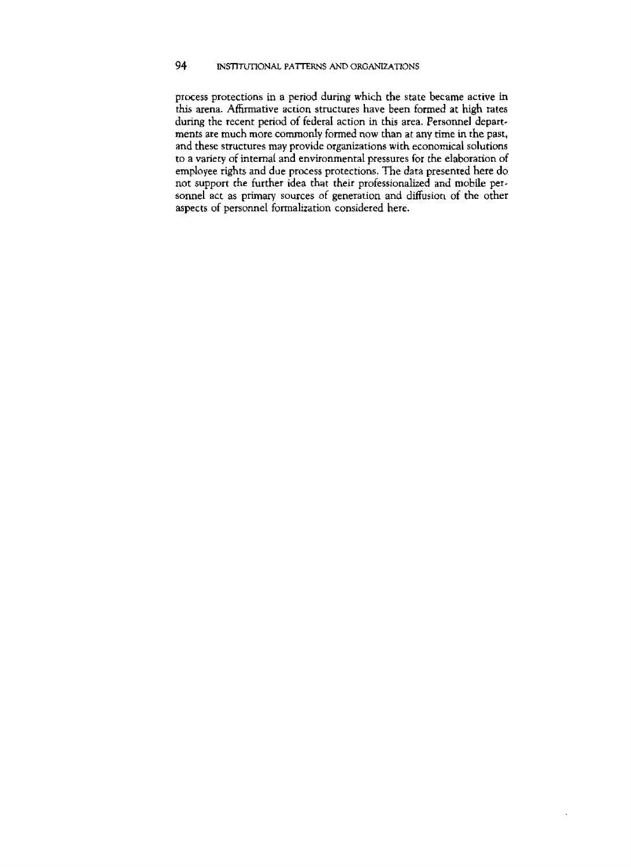**process protections** in a **period** during **which the state became active in**  this **arena. Affirmative action structures have** been formed at high **rates**  during the recent **period** of **federal** action in **this** area. **Personnel departments ate** much **more** commonly formed now than at any **time in the** past, and these structures may provide organizations **with** economical **solutions**  to a **variety** of internal **and environmental pressures for** *the* elaboration of **employee** rights and due process protections. The data **presented** here do not support **rhe** further **idea** that their professionalized and mobile per**sonnel** act **as primary** sources **ol** generation and dfision of the other **aspects** of personnel formalization **considered** here.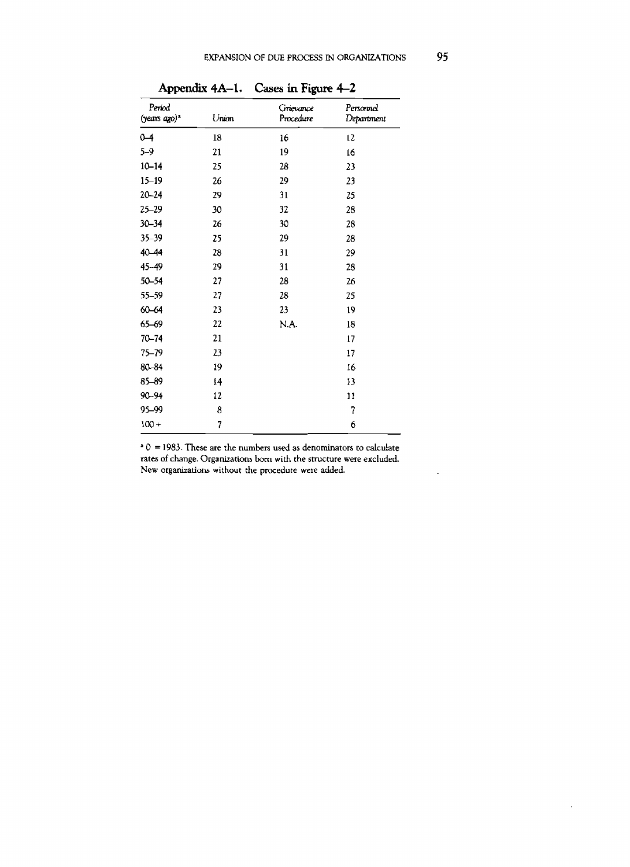|                                                   |                | Appendix 4A-1. Cases in Figure 4-2 |                         |  |  |  |
|---------------------------------------------------|----------------|------------------------------------|-------------------------|--|--|--|
| Period<br>$(\gamma e a \text{rs } a \text{go})^a$ | Union          | Grievance<br>Procedure             | Personnel<br>Department |  |  |  |
| $0 - 4$                                           | 18             | 16                                 | t2                      |  |  |  |
| $5 - 9$                                           | 21             | 19                                 | 16                      |  |  |  |
| $10 - 14$                                         | 25             | 28                                 | 23                      |  |  |  |
| $15 - 19$                                         | 26             | 29                                 | 23                      |  |  |  |
| $20 - 24$                                         | 29             | 31                                 | 25                      |  |  |  |
| $25 - 29$                                         | 30             | 32                                 | 28                      |  |  |  |
| $30 - 34$                                         | 26             | 30                                 | 28                      |  |  |  |
| 35-39                                             | 25             | 29                                 | 28                      |  |  |  |
| 40-44                                             | 28             | 31                                 | 29                      |  |  |  |
| 45-49                                             | 29             | 31                                 | 28                      |  |  |  |
| 50-54                                             | 27             | 28                                 | 26                      |  |  |  |
| 55-59                                             | 27             | 28                                 | 25                      |  |  |  |
| 60-64                                             | 23             | 23                                 | 19                      |  |  |  |
| 65-69                                             | 22             | N.A.                               | 18                      |  |  |  |
| $70 - 74$                                         | 21             |                                    | 17                      |  |  |  |
| 75-79                                             | 23             |                                    | 17                      |  |  |  |
| 80-84                                             | 19             |                                    | 16                      |  |  |  |
| $85 - 89$                                         | 14             |                                    | 13                      |  |  |  |
| 90-94                                             | 12             |                                    | 11                      |  |  |  |
| 95-99                                             | 8              |                                    | 7                       |  |  |  |
| $100 +$                                           | $\overline{7}$ |                                    | 6                       |  |  |  |

' **0** = **1983. These are** the **numbers used as denominators** to **calculate rates** of **change. Organizations** hrn **with the structure were excluded.**  New organizations without the procedure were added.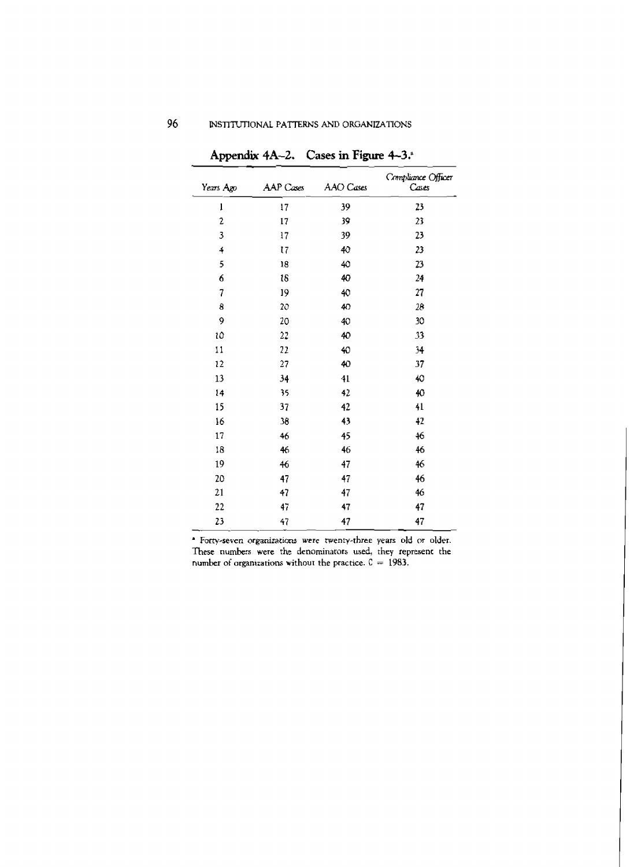| Years Ago       | AAP Cases      | AAO Cases | Compliance Officer<br>Cases |
|-----------------|----------------|-----------|-----------------------------|
| $\mathbf 1$     | 17             | 39        | 23                          |
| $\overline{c}$  | 17             | 39        | 23                          |
| 3               | 17             | 39        | 23                          |
| 4               | $\mathfrak{r}$ | 40        | 23                          |
| 5               | 18             | 40        | $\boldsymbol{v}$            |
| 6               | 18             | 40        | 24                          |
| 7               | 19             | 40        | 27                          |
| 8               | 20             | 40        | 28                          |
| 9               | 20             | 40        | 30                          |
| 10              | 2.1            | 40        | 33                          |
| $\overline{11}$ | 22             | 40        | 34                          |
| 12              | 27             | 40        | 37                          |
| 13              | 34             | 41        | 40                          |
| 14              | 35             | 42        | 40                          |
| 15              | 37             | 42        | 41                          |
| 16              | 38             | 43        | 42                          |
| 17              | 46             | 45        | 46                          |
| 18              | 46             | 46        | 46                          |
| 19              | 46             | 47        | 46                          |
| 20              | 47             | 47        | 46                          |
| 21              | 47             | 47        | 46                          |
| 22              | 47             | 47        | 47                          |
| 23              | 47             | 47        | 47                          |

Appendix 4A-2. Cases in Figure 4-3.

\* Forty-seven organizations were twenty-three years old or older. These numbers were the denominators used, they represent the number of organizations without the practice.  $C = 1983$ .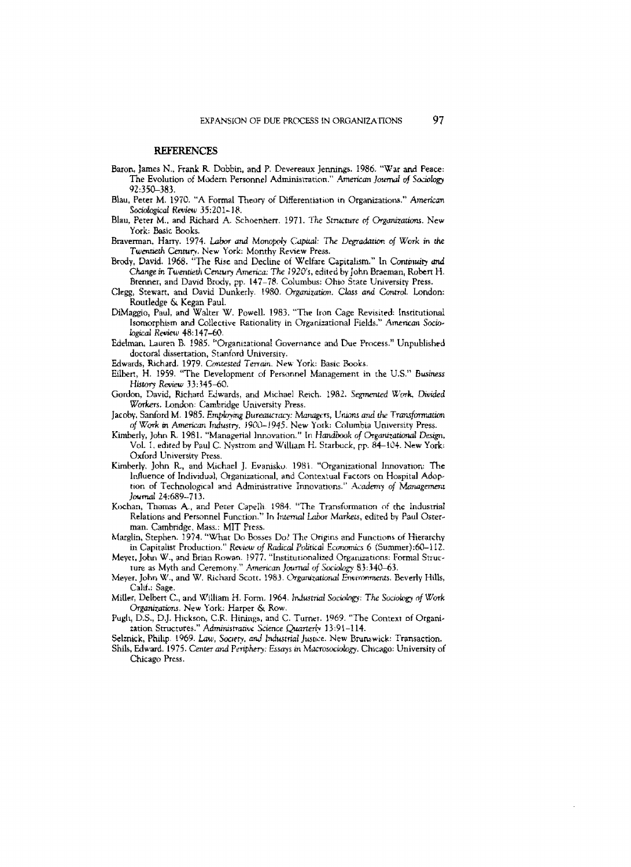#### **REFERENCES**

- Baron, James N., Frank R. Dobbin, and P. Devereaux Jennings. 1986. "War and Peace: The Evolution of Modern Personnel Administration." American Journal of Sociology 92:350–383.
- Blau, Peter M. 1970. "A Formal Theory of Differentiation in Organizations." American Sociological Review 35:201-18.
- Blau, Peter M., and Richard A. Schoenherr. 1971. The Structure of Organizations. New York: Basic Books.
- Braverman, Harry. 1974. Labor and Monopoly Capital: The Degradation of Work in the Twentieth Century. New York: Monthy Review Press.
- Brody, David. 1968. "The Rise and Decline of Welfare Capitalism." In Continuity and Change in Twentieth Century America: The 1920's, edited by John Braeman, Robert H. Brenner, and David Brody, pp. 147-78. Columbus: Ohio State University Press.
- Clegg, Stewart, and David Dunkerly. 1980. Organization. Class and Control. London: Routledge & Kegan Paul.
- DiMaggio, Paul, and Walter W. Powell. 1983. "The Iron Cage Revisited: Institutional Isomorphism and Collective Rationality in Organizational Fields." American Sociological Review 48:147–60.
- Edelman, Lauren B. 1985. "Organizational Governance and Due Process." Unpublished doctoral dissertation, Stanford University.
- Edwards, Richard. 1979. Contested Terrain. New York: Basic Books.
- Eilbert, H. 1959. "The Development of Personnel Management in the U.S." Business History Review 33:345-60.
- Gordon, David, Richard Edwards, and Michael Reich. 1982. Segmented Work, Divided Workers. London: Cambridge University Press.
- Jacoby, Sanford M. 1985. Employing Bureaucracy: Managers, Unions and the Transformation of Work in American Industry, 1900-1945. New York: Columbia University Press.
- Kimberly, John R. 1981. "Managerial Innovation." In Handbook of Organizational Design, Vol. 1, edited by Paul C. Nystrom and William H. Starbuck, pp. 84-104. New York: Oxford University Press.
- Kimberly, John R., and Michael J. Evanisko. 1981. "Organizational Innovation: The Influence of Individual, Organizational, and Contextual Factors on Hospital Adoption of Technological and Administrative Innovations." Academy of Management Journal 24:689-713.
- Kochan, Thomas A., and Peter Capelli. 1984. "The Transformation of the Industrial Relations and Personnel Function." In Internal Labor Markets, edited by Paul Osterman. Cambridge, Mass.: MIT Press.
- Marglin, Stephen. 1974. "What Do Bosses Do? The Origins and Functions of Hierarchy in Capitalist Production." Review of Radical Political Economics 6 (Summer):60-112.
- Meyet, John W., and Brian Rowan. 1977. "Institutionalized Organizations: Formal Structure as Myth and Ceremony." American Journal of Sociology 83:340-63.
- Meyer, John W., and W. Richard Scott. 1983. Organizational Environments. Beverly Hills, Calif.: Sage.
- Miller, Delbert C., and William H. Form. 1964. Industrial Sociology: The Sociology of Work Organizations. New York: Harper & Row.
- Pugli, D.S., D.J. Hickson, C.R. Hinings, and C. Turnet. 1969. "The Context of Organi-2ation Structures." Administrative Science Quarterly 13:91-114.
- Selznick, Philip. 1969. Law, Society, and Industrial Justice. New Brunswick: Transaction.
- Shils, Edward. 1975. Center and Periphery: Essays in Macrosociology. Chicago: University of Chicago Press.